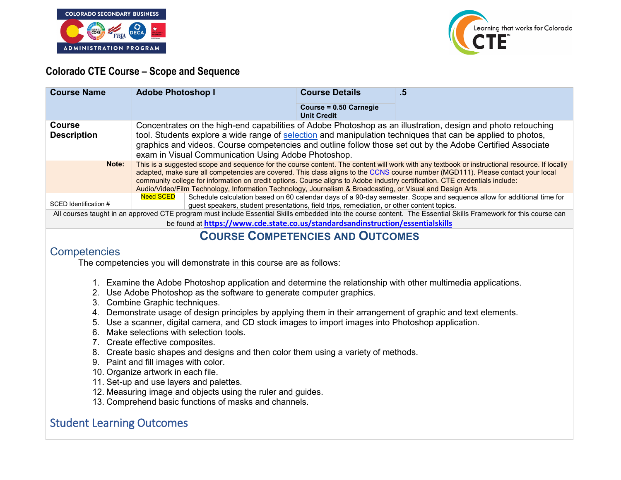



### **Colorado CTE Course – Scope and Sequence**

| <b>Course Name</b>                                                                                                                                                                                                                                  | <b>Adobe Photoshop I</b>                                                                                                                                                                                                                                                                                                                                                                                                                                                                                                      | <b>Course Details</b>                        | .5                                                                                                                    |
|-----------------------------------------------------------------------------------------------------------------------------------------------------------------------------------------------------------------------------------------------------|-------------------------------------------------------------------------------------------------------------------------------------------------------------------------------------------------------------------------------------------------------------------------------------------------------------------------------------------------------------------------------------------------------------------------------------------------------------------------------------------------------------------------------|----------------------------------------------|-----------------------------------------------------------------------------------------------------------------------|
|                                                                                                                                                                                                                                                     |                                                                                                                                                                                                                                                                                                                                                                                                                                                                                                                               | Course = 0.50 Carnegie<br><b>Unit Credit</b> |                                                                                                                       |
| Course<br><b>Description</b>                                                                                                                                                                                                                        | Concentrates on the high-end capabilities of Adobe Photoshop as an illustration, design and photo retouching<br>tool. Students explore a wide range of selection and manipulation techniques that can be applied to photos,<br>graphics and videos. Course competencies and outline follow those set out by the Adobe Certified Associate<br>exam in Visual Communication Using Adobe Photoshop.                                                                                                                              |                                              |                                                                                                                       |
| Note:                                                                                                                                                                                                                                               | This is a suggested scope and seguence for the course content. The content will work with any textbook or instructional resource. If locally<br>adapted, make sure all competencies are covered. This class aligns to the CCNS course number (MGD111). Please contact your local<br>community college for information on credit options. Course aligns to Adobe industry certification. CTE credentials include:<br>Audio/Video/Film Technology, Information Technology, Journalism & Broadcasting, or Visual and Design Arts |                                              |                                                                                                                       |
| SCED Identification #                                                                                                                                                                                                                               | <b>Need SCED</b><br>guest speakers, student presentations, field trips, remediation, or other content topics.                                                                                                                                                                                                                                                                                                                                                                                                                 |                                              | Schedule calculation based on 60 calendar days of a 90-day semester. Scope and sequence allow for additional time for |
| All courses taught in an approved CTE program must include Essential Skills embedded into the course content. The Essential Skills Framework for this course can<br>be found at https://www.cde.state.co.us/standardsandinstruction/essentialskills |                                                                                                                                                                                                                                                                                                                                                                                                                                                                                                                               |                                              |                                                                                                                       |

# **COURSE COMPETENCIES AND OUTCOMES**

### **Competencies**

The competencies you will demonstrate in this course are as follows:

- 1. Examine the Adobe Photoshop application and determine the relationship with other multimedia applications.
- 2. Use Adobe Photoshop as the software to generate computer graphics.
- 3. Combine Graphic techniques.
- 4. Demonstrate usage of design principles by applying them in their arrangement of graphic and text elements.
- 5. Use a scanner, digital camera, and CD stock images to import images into Photoshop application.
- 6. Make selections with selection tools.
- 7. Create effective composites.
- 8. Create basic shapes and designs and then color them using a variety of methods.
- 9. Paint and fill images with color.
- 10. Organize artwork in each file.
- 11. Set-up and use layers and palettes.
- 12. Measuring image and objects using the ruler and guides.
- 13. Comprehend basic functions of masks and channels.

## Student Learning Outcomes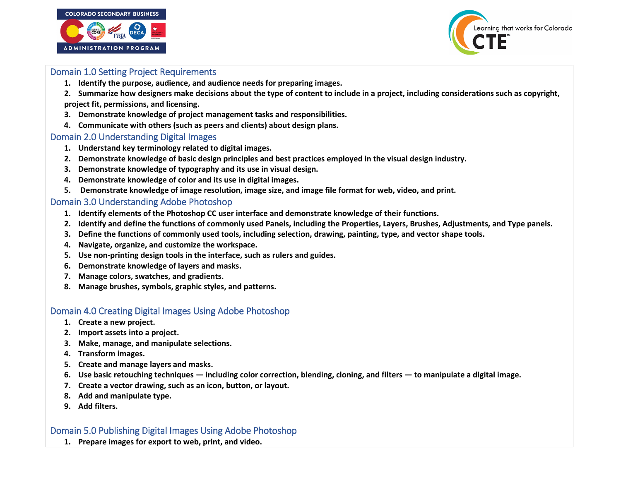



#### Domain 1.0 Setting Project Requirements

- **1. Identify the purpose, audience, and audience needs for preparing images.**
- **2. Summarize how designers make decisions about the type of content to include in a project, including considerations such as copyright, project fit, permissions, and licensing.**
- **3. Demonstrate knowledge of project management tasks and responsibilities.**
- **4. Communicate with others (such as peers and clients) about design plans.**

#### Domain 2.0 Understanding Digital Images

- **1. Understand key terminology related to digital images.**
- **2. Demonstrate knowledge of basic design principles and best practices employed in the visual design industry.**
- **3. Demonstrate knowledge of typography and its use in visual design.**
- **4. Demonstrate knowledge of color and its use in digital images.**
- **5. Demonstrate knowledge of image resolution, image size, and image file format for web, video, and print.**

#### Domain 3.0 Understanding Adobe Photoshop

- **1. Identify elements of the Photoshop CC user interface and demonstrate knowledge of their functions.**
- **2. Identify and define the functions of commonly used Panels, including the Properties, Layers, Brushes, Adjustments, and Type panels.**
- **3. Define the functions of commonly used tools, including selection, drawing, painting, type, and vector shape tools.**
- **4. Navigate, organize, and customize the workspace.**
- **5. Use non-printing design tools in the interface, such as rulers and guides.**
- **6. Demonstrate knowledge of layers and masks.**
- **7. Manage colors, swatches, and gradients.**
- **8. Manage brushes, symbols, graphic styles, and patterns.**

#### Domain 4.0 Creating Digital Images Using Adobe Photoshop

- **1. Create a new project.**
- **2. Import assets into a project.**
- **3. Make, manage, and manipulate selections.**
- **4. Transform images.**
- **5. Create and manage layers and masks.**
- **6. Use basic retouching techniques — including color correction, blending, cloning, and filters — to manipulate a digital image.**
- **7. Create a vector drawing, such as an icon, button, or layout.**
- **8. Add and manipulate type.**
- **9. Add filters.**

#### Domain 5.0 Publishing Digital Images Using Adobe Photoshop

**1. Prepare images for export to web, print, and video.**